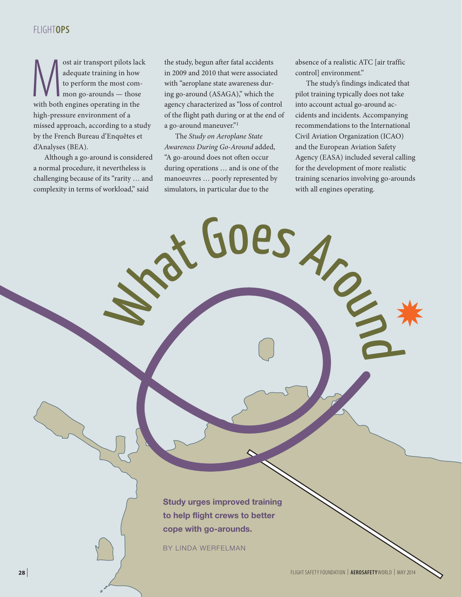# FLIGHT**OPS**

ost air transport pilots lack<br>
adequate training in how<br>
to perform the most com-<br>
mon go-arounds — those<br>
with both engines operating in the adequate training in how to perform the most common go-arounds — those high-pressure environment of a missed approach, according to a study by the French Bureau d'Enquêtes et d'Analyses (BEA).

Although a go-around is considered a normal procedure, it nevertheless is challenging because of its "rarity … and complexity in terms of workload," said

the study, begun after fatal accidents in 2009 and 2010 that were associated with "aeroplane state awareness during go-around (ASAGA)," which the agency characterized as "loss of control of the flight path during or at the end of a go-around maneuver."1

The *Study on Aeroplane State Awareness During Go-Around* added, "A go-around does not often occur during operations … and is one of the manoeuvres … poorly represented by simulators, in particular due to the

absence of a realistic ATC [air traffic control] environment."

The study's findings indicated that pilot training typically does not take into account actual go-around accidents and incidents. Accompanying recommendations to the International Civil Aviation Organization (ICAO) and the European Aviation Safety Agency (EASA) included several calling for the development of more realistic training scenarios involving go-arounds with all engines operating.

Des Aro

**Study urges improved training to help flight crews to better cope with go-arounds.**

BY LINDA WERFELMAN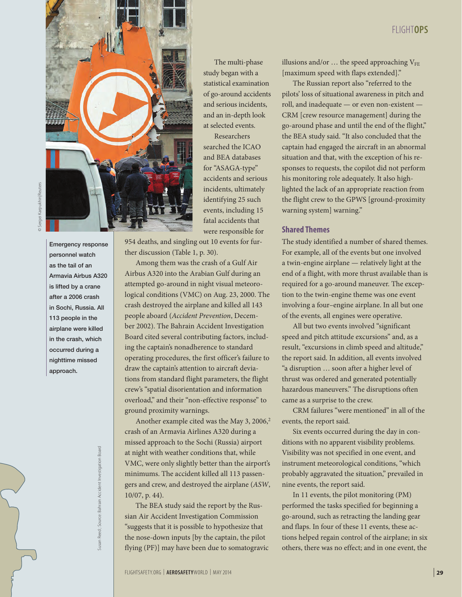

Emergency response personnel watch as the tail of an Armavia Airbus A320 is lifted by a crane after a 2006 crash in Sochi, Russia. All 113 people in the airplane were killed in the crash, which occurred during a nighttime missed approach.

> Susan Reed; Source: Bahrain Accident Investigation Board Susan Reed ; Source: Bahrain Accident Investigation Board

The multi-phase study began with a statistical examination of go-around accidents and serious incidents, and an in-depth look at selected events.

Researchers searched the ICAO and BEA databases for "ASAGA-type" accidents and serious incidents, ultimately identifying 25 such events, including 15 fatal accidents that were responsible for

954 deaths, and singling out 10 events for further discussion (Table 1, p. 30).

Among them was the crash of a Gulf Air Airbus A320 into the Arabian Gulf during an attempted go-around in night visual meteorological conditions (VMC) on Aug. 23, 2000. The crash destroyed the airplane and killed all 143 people aboard (*Accident Prevention*, December 2002). The Bahrain Accident Investigation Board cited several contributing factors, including the captain's nonadherence to standard operating procedures, the first officer's failure to draw the captain's attention to aircraft deviations from standard flight parameters, the flight crew's "spatial disorientation and information overload," and their "non-effective response" to ground proximity warnings.

Another example cited was the May 3, 2006, $2$ crash of an Armavia Airlines A320 during a missed approach to the Sochi (Russia) airport at night with weather conditions that, while VMC, were only slightly better than the airport's minimums. The accident killed all 113 passengers and crew, and destroyed the airplane (*ASW*, 10/07, p. 44).

The BEA study said the report by the Russian Air Accident Investigation Commission "suggests that it is possible to hypothesize that the nose-down inputs [by the captain, the pilot flying (PF)] may have been due to somatogravic illusions and/or  $\ldots$  the speed approaching  $V_{FE}$ [maximum speed with flaps extended]."

The Russian report also "referred to the pilots' loss of situational awareness in pitch and roll, and inadequate — or even non-existent — CRM [crew resource management] during the go-around phase and until the end of the flight," the BEA study said. "It also concluded that the captain had engaged the aircraft in an abnormal situation and that, with the exception of his responses to requests, the copilot did not perform his monitoring role adequately. It also highlighted the lack of an appropriate reaction from the flight crew to the GPWS [ground-proximity warning system] warning."

### **Shared Themes**

The study identified a number of shared themes. For example, all of the events but one involved a twin-engine airplane — relatively light at the end of a flight, with more thrust available than is required for a go-around maneuver. The exception to the twin-engine theme was one event involving a four–engine airplane. In all but one of the events, all engines were operative.

All but two events involved "significant speed and pitch attitude excursions" and, as a result, "excursions in climb speed and altitude," the report said. In addition, all events involved "a disruption … soon after a higher level of thrust was ordered and generated potentially hazardous maneuvers." The disruptions often came as a surprise to the crew.

CRM failures "were mentioned" in all of the events, the report said.

Six events occurred during the day in conditions with no apparent visibility problems. Visibility was not specified in one event, and instrument meteorological conditions, "which probably aggravated the situation," prevailed in nine events, the report said.

In 11 events, the pilot monitoring (PM) performed the tasks specified for beginning a go-around, such as retracting the landing gear and flaps. In four of these 11 events, these actions helped regain control of the airplane; in six others, there was no effect; and in one event, the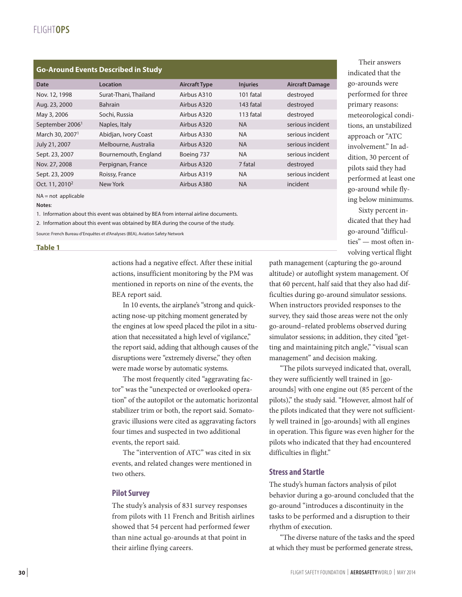| <b>Go-Around Events Described in Study</b> |                       |                      |                 |                        |
|--------------------------------------------|-----------------------|----------------------|-----------------|------------------------|
| <b>Date</b>                                | Location              | <b>Aircraft Type</b> | <b>Injuries</b> | <b>Aircraft Damage</b> |
| Nov. 12, 1998                              | Surat-Thani, Thailand | Airbus A310          | 101 fatal       | destroyed              |
| Aug. 23, 2000                              | <b>Bahrain</b>        | Airbus A320          | 143 fatal       | destroyed              |
| May 3, 2006                                | Sochi, Russia         | Airbus A320          | 113 fatal       | destroyed              |
| September 2006 <sup>1</sup>                | Naples, Italy         | Airbus A320          | <b>NA</b>       | serious incident       |
| March 30, 2007 <sup>1</sup>                | Abidjan, Ivory Coast  | Airbus A330          | <b>NA</b>       | serious incident       |
| July 21, 2007                              | Melbourne, Australia  | Airbus A320          | <b>NA</b>       | serious incident       |
| Sept. 23, 2007                             | Bournemouth, England  | Boeing 737           | <b>NA</b>       | serious incident       |
| Nov. 27, 2008                              | Perpignan, France     | Airbus A320          | 7 fatal         | destroyed              |
| Sept. 23, 2009                             | Roissy, France        | Airbus A319          | <b>NA</b>       | serious incident       |
| Oct. 11, 2010 <sup>2</sup>                 | New York              | Airbus A380          | <b>NA</b>       | incident               |

NA = not applicable

**Notes**:

1. Information about this event was obtained by BEA from internal airline documents.

2. Information about this event was obtained by BEA during the course of the study.

Source: French Bureau d'Enquêtes et d'Analyses (BEA), Aviation Safety Network

#### **Table 1**

actions had a negative effect. After these initial actions, insufficient monitoring by the PM was mentioned in reports on nine of the events, the BEA report said.

In 10 events, the airplane's "strong and quickacting nose-up pitching moment generated by the engines at low speed placed the pilot in a situation that necessitated a high level of vigilance," the report said, adding that although causes of the disruptions were "extremely diverse," they often were made worse by automatic systems.

The most frequently cited "aggravating factor" was the "unexpected or overlooked operation" of the autopilot or the automatic horizontal stabilizer trim or both, the report said. Somatogravic illusions were cited as aggravating factors four times and suspected in two additional events, the report said.

The "intervention of ATC" was cited in six events, and related changes were mentioned in two others.

#### **Pilot Survey**

The study's analysis of 831 survey responses from pilots with 11 French and British airlines showed that 54 percent had performed fewer than nine actual go-arounds at that point in their airline flying careers.

Their answers indicated that the go-arounds were performed for three primary reasons: meteorological conditions, an unstabilized approach or "ATC involvement." In addition, 30 percent of pilots said they had performed at least one go-around while flying below minimums.

Sixty percent indicated that they had go-around "difficulties" — most often involving vertical flight

path management (capturing the go-around altitude) or autoflight system management. Of that 60 percent, half said that they also had difficulties during go-around simulator sessions. When instructors provided responses to the survey, they said those areas were not the only go-around–related problems observed during simulator sessions; in addition, they cited "getting and maintaining pitch angle," "visual scan management" and decision making.

"The pilots surveyed indicated that, overall, they were sufficiently well trained in [goarounds] with one engine out (85 percent of the pilots)," the study said. "However, almost half of the pilots indicated that they were not sufficiently well trained in [go-arounds] with all engines in operation. This figure was even higher for the pilots who indicated that they had encountered difficulties in flight."

## **Stress and Startle**

The study's human factors analysis of pilot behavior during a go-around concluded that the go-around "introduces a discontinuity in the tasks to be performed and a disruption to their rhythm of execution.

"The diverse nature of the tasks and the speed at which they must be performed generate stress,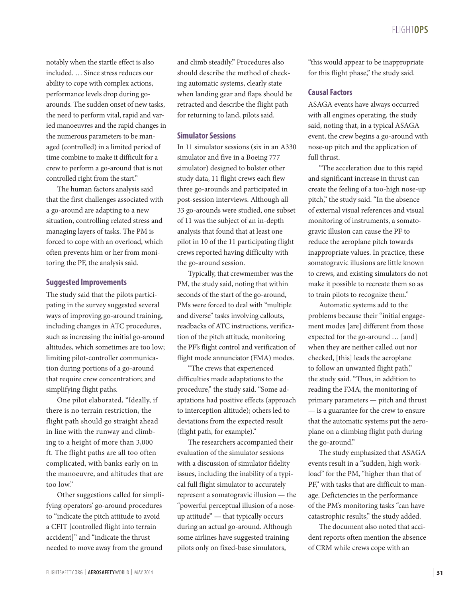notably when the startle effect is also included. … Since stress reduces our ability to cope with complex actions, performance levels drop during goarounds. The sudden onset of new tasks, the need to perform vital, rapid and varied manoeuvres and the rapid changes in the numerous parameters to be managed (controlled) in a limited period of time combine to make it difficult for a crew to perform a go-around that is not controlled right from the start."

The human factors analysis said that the first challenges associated with a go-around are adapting to a new situation, controlling related stress and managing layers of tasks. The PM is forced to cope with an overload, which often prevents him or her from monitoring the PF, the analysis said.

#### **Suggested Improvements**

The study said that the pilots participating in the survey suggested several ways of improving go-around training, including changes in ATC procedures, such as increasing the initial go-around altitudes, which sometimes are too low; limiting pilot-controller communication during portions of a go-around that require crew concentration; and simplifying flight paths.

One pilot elaborated, "Ideally, if there is no terrain restriction, the flight path should go straight ahead in line with the runway and climbing to a height of more than 3,000 ft. The flight paths are all too often complicated, with banks early on in the manoeuvre, and altitudes that are too low"

Other suggestions called for simplifying operators' go-around procedures to "indicate the pitch attitude to avoid a CFIT [controlled flight into terrain accident]" and "indicate the thrust needed to move away from the ground

and climb steadily." Procedures also should describe the method of checking automatic systems, clearly state when landing gear and flaps should be retracted and describe the flight path for returning to land, pilots said.

#### **Simulator Sessions**

In 11 simulator sessions (six in an A330 simulator and five in a Boeing 777 simulator) designed to bolster other study data, 11 flight crews each flew three go-arounds and participated in post-session interviews. Although all 33 go-arounds were studied, one subset of 11 was the subject of an in-depth analysis that found that at least one pilot in 10 of the 11 participating flight crews reported having difficulty with the go-around session.

Typically, that crewmember was the PM, the study said, noting that within seconds of the start of the go-around, PMs were forced to deal with "multiple and diverse" tasks involving callouts, readbacks of ATC instructions, verification of the pitch attitude, monitoring the PF's flight control and verification of flight mode annunciator (FMA) modes.

"The crews that experienced difficulties made adaptations to the procedure," the study said. "Some adaptations had positive effects (approach to interception altitude); others led to deviations from the expected result (flight path, for example)."

The researchers accompanied their evaluation of the simulator sessions with a discussion of simulator fidelity issues, including the inability of a typical full flight simulator to accurately represent a somatogravic illusion — the "powerful perceptual illusion of a noseup attitude" — that typically occurs during an actual go-around. Although some airlines have suggested training pilots only on fixed-base simulators,

"this would appear to be inappropriate for this flight phase," the study said.

### **Causal Factors**

ASAGA events have always occurred with all engines operating, the study said, noting that, in a typical ASAGA event, the crew begins a go-around with nose-up pitch and the application of full thrust.

"The acceleration due to this rapid and significant increase in thrust can create the feeling of a too-high nose-up pitch," the study said. "In the absence of external visual references and visual monitoring of instruments, a somatogravic illusion can cause the PF to reduce the aeroplane pitch towards inappropriate values. In practice, these somatogravic illusions are little known to crews, and existing simulators do not make it possible to recreate them so as to train pilots to recognize them."

Automatic systems add to the problems because their "initial engagement modes [are] different from those expected for the go-around … [and] when they are neither called out nor checked, [this] leads the aeroplane to follow an unwanted flight path," the study said. "Thus, in addition to reading the FMA, the monitoring of primary parameters — pitch and thrust — is a guarantee for the crew to ensure that the automatic systems put the aeroplane on a climbing flight path during the go-around."

The study emphasized that ASAGA events result in a "sudden, high workload" for the PM, "higher than that of PF," with tasks that are difficult to manage. Deficiencies in the performance of the PM's monitoring tasks "can have catastrophic results," the study added.

The document also noted that accident reports often mention the absence of CRM while crews cope with an